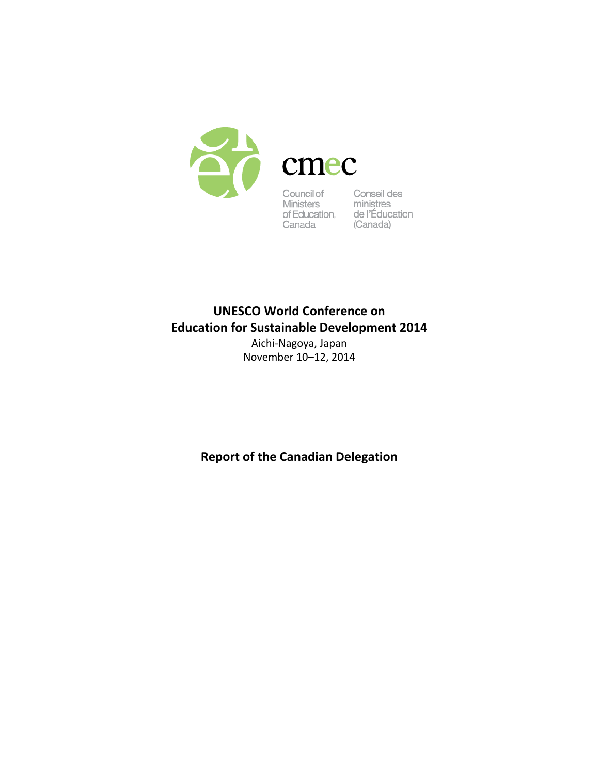

Council of Conseil des<br>
Ministers ministres<br>
of Education, de l'Éducation<br>
Canada (Canada)

# **UNESCO World Conference on Education for Sustainable Development 2014**

Aichi‐Nagoya, Japan November 10–12, 2014

**Report of the Canadian Delegation**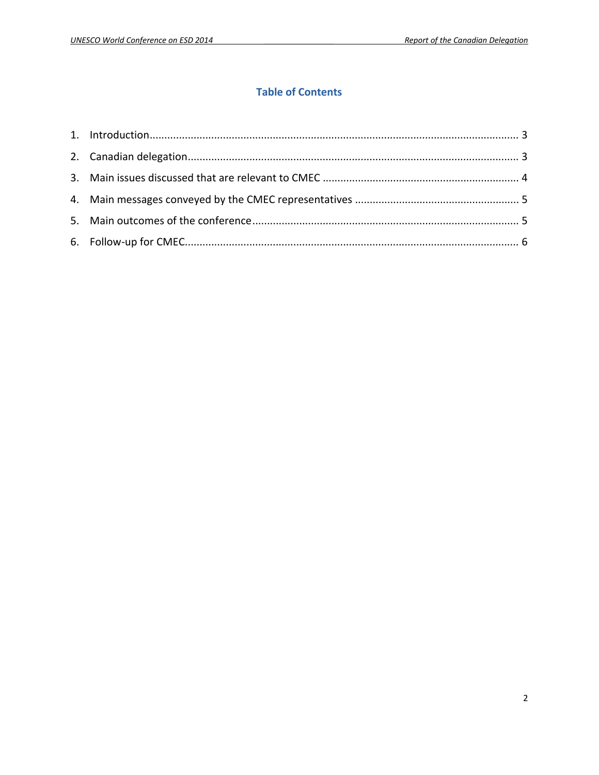## **Table of Contents**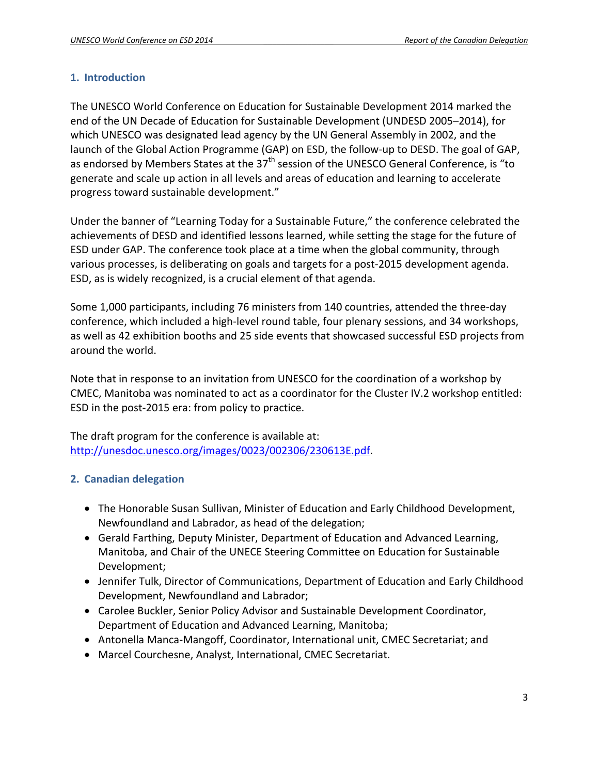## **1. Introduction**

The UNESCO World Conference on Education for Sustainable Development 2014 marked the end of the UN Decade of Education for Sustainable Development (UNDESD 2005–2014), for which UNESCO was designated lead agency by the UN General Assembly in 2002, and the launch of the Global Action Programme (GAP) on ESD, the follow‐up to DESD. The goal of GAP, as endorsed by Members States at the  $37<sup>th</sup>$  session of the UNESCO General Conference, is "to generate and scale up action in all levels and areas of education and learning to accelerate progress toward sustainable development."

Under the banner of "Learning Today for a Sustainable Future," the conference celebrated the achievements of DESD and identified lessons learned, while setting the stage for the future of ESD under GAP. The conference took place at a time when the global community, through various processes, is deliberating on goals and targets for a post‐2015 development agenda. ESD, as is widely recognized, is a crucial element of that agenda.

Some 1,000 participants, including 76 ministers from 140 countries, attended the three‐day conference, which included a high‐level round table, four plenary sessions, and 34 workshops, as well as 42 exhibition booths and 25 side events that showcased successful ESD projects from around the world.

Note that in response to an invitation from UNESCO for the coordination of a workshop by CMEC, Manitoba was nominated to act as a coordinator for the Cluster IV.2 workshop entitled: ESD in the post‐2015 era: from policy to practice.

The draft program for the conference is available at: http://unesdoc.unesco.org/images/0023/002306/230613E.pdf.

# **2. Canadian delegation**

- The Honorable Susan Sullivan, Minister of Education and Early Childhood Development, Newfoundland and Labrador, as head of the delegation;
- Gerald Farthing, Deputy Minister, Department of Education and Advanced Learning, Manitoba, and Chair of the UNECE Steering Committee on Education for Sustainable Development;
- Jennifer Tulk, Director of Communications, Department of Education and Early Childhood Development, Newfoundland and Labrador;
- Carolee Buckler, Senior Policy Advisor and Sustainable Development Coordinator, Department of Education and Advanced Learning, Manitoba;
- Antonella Manca-Mangoff, Coordinator, International unit, CMEC Secretariat; and
- Marcel Courchesne, Analyst, International, CMEC Secretariat.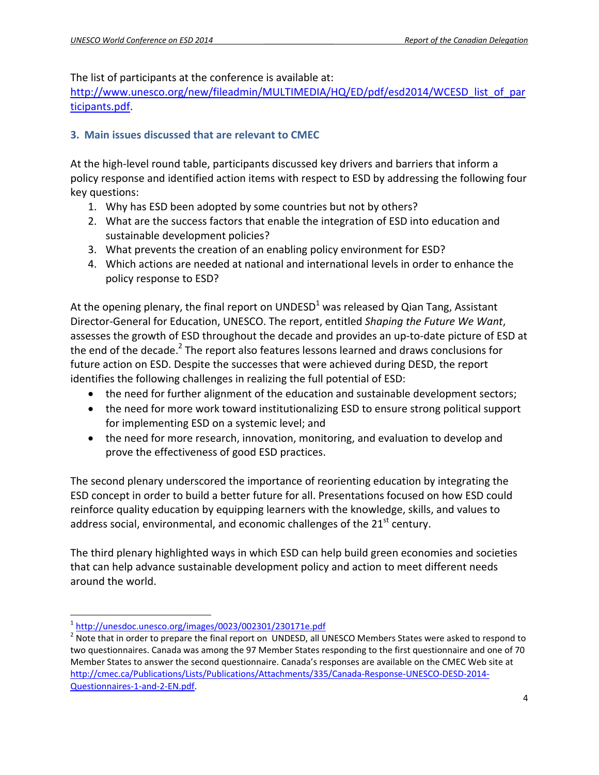The list of participants at the conference is available at:

http://www.unesco.org/new/fileadmin/MULTIMEDIA/HQ/ED/pdf/esd2014/WCESD list of par ticipants.pdf.

# **3. Main issues discussed that are relevant to CMEC**

At the high‐level round table, participants discussed key drivers and barriers that inform a policy response and identified action items with respect to ESD by addressing the following four key questions:

- 1. Why has ESD been adopted by some countries but not by others?
- 2. What are the success factors that enable the integration of ESD into education and sustainable development policies?
- 3. What prevents the creation of an enabling policy environment for ESD?
- 4. Which actions are needed at national and international levels in order to enhance the policy response to ESD?

At the opening plenary, the final report on UNDESD<sup>1</sup> was released by Qian Tang, Assistant Director‐General for Education, UNESCO. The report, entitled *Shaping the Future We Want*, assesses the growth of ESD throughout the decade and provides an up‐to‐date picture of ESD at the end of the decade. $2$  The report also features lessons learned and draws conclusions for future action on ESD. Despite the successes that were achieved during DESD, the report identifies the following challenges in realizing the full potential of ESD:

- the need for further alignment of the education and sustainable development sectors;
- the need for more work toward institutionalizing ESD to ensure strong political support for implementing ESD on a systemic level; and
- the need for more research, innovation, monitoring, and evaluation to develop and prove the effectiveness of good ESD practices.

The second plenary underscored the importance of reorienting education by integrating the ESD concept in order to build a better future for all. Presentations focused on how ESD could reinforce quality education by equipping learners with the knowledge, skills, and values to address social, environmental, and economic challenges of the  $21<sup>st</sup>$  century.

The third plenary highlighted ways in which ESD can help build green economies and societies that can help advance sustainable development policy and action to meet different needs around the world.

<sup>&</sup>lt;sup>1</sup>http://unesdoc.unesco.org/images/0023/002301/230171e.pdf

 $2\overline{N}$  Note that in order to prepare the final report on UNDESD, all UNESCO Members States were asked to respond to two questionnaires. Canada was among the 97 Member States responding to the first questionnaire and one of 70 Member States to answer the second questionnaire. Canada's responses are available on the CMEC Web site at http://cmec.ca/Publications/Lists/Publications/Attachments/335/Canada‐Response‐UNESCO‐DESD‐2014‐ Questionnaires‐1‐and‐2‐EN.pdf.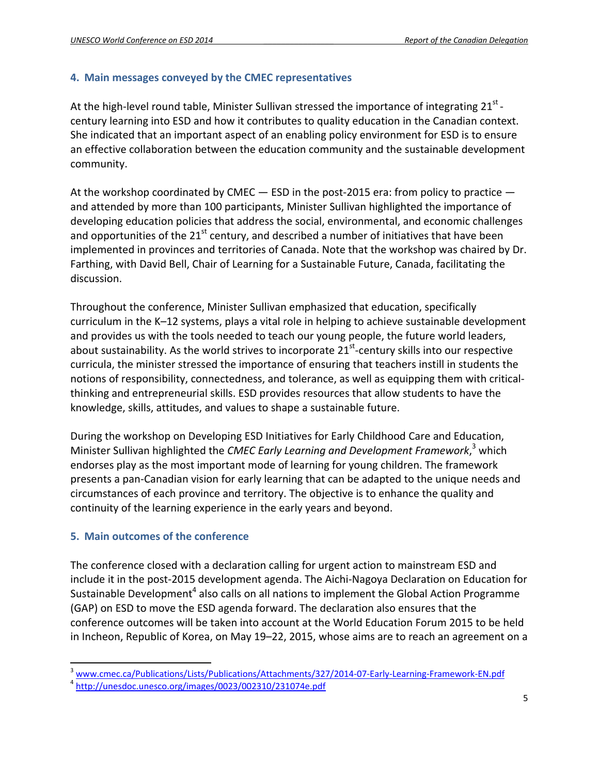### **4. Main messages conveyed by the CMEC representatives**

At the high-level round table, Minister Sullivan stressed the importance of integrating  $21^{st}$  – century learning into ESD and how it contributes to quality education in the Canadian context. She indicated that an important aspect of an enabling policy environment for ESD is to ensure an effective collaboration between the education community and the sustainable development community.

At the workshop coordinated by CMEC  $-$  ESD in the post-2015 era: from policy to practice  $$ and attended by more than 100 participants, Minister Sullivan highlighted the importance of developing education policies that address the social, environmental, and economic challenges and opportunities of the  $21^{st}$  century, and described a number of initiatives that have been implemented in provinces and territories of Canada. Note that the workshop was chaired by Dr. Farthing, with David Bell, Chair of Learning for a Sustainable Future, Canada, facilitating the discussion.

Throughout the conference, Minister Sullivan emphasized that education, specifically curriculum in the K–12 systems, plays a vital role in helping to achieve sustainable development and provides us with the tools needed to teach our young people, the future world leaders, about sustainability. As the world strives to incorporate  $21<sup>st</sup>$ -century skills into our respective curricula, the minister stressed the importance of ensuring that teachers instill in students the notions of responsibility, connectedness, and tolerance, as well as equipping them with critical‐ thinking and entrepreneurial skills. ESD provides resources that allow students to have the knowledge, skills, attitudes, and values to shape a sustainable future.

During the workshop on Developing ESD Initiatives for Early Childhood Care and Education, Minister Sullivan highlighted the *CMEC Early Learning and Development Framework*, <sup>3</sup> which endorses play as the most important mode of learning for young children. The framework presents a pan‐Canadian vision for early learning that can be adapted to the unique needs and circumstances of each province and territory. The objective is to enhance the quality and continuity of the learning experience in the early years and beyond.

#### **5. Main outcomes of the conference**

The conference closed with a declaration calling for urgent action to mainstream ESD and include it in the post‐2015 development agenda. The Aichi‐Nagoya Declaration on Education for Sustainable Development<sup>4</sup> also calls on all nations to implement the Global Action Programme (GAP) on ESD to move the ESD agenda forward. The declaration also ensures that the conference outcomes will be taken into account at the World Education Forum 2015 to be held in Incheon, Republic of Korea, on May 19–22, 2015, whose aims are to reach an agreement on a

<sup>&</sup>lt;sup>3</sup> www.cmec.ca/Publications/Lists/Publications/Attachments/327/2014-07-Early-Learning-Framework-EN.pdf<br><sup>4</sup> http://unesdoc.unesco.org/images/0023/002310/231074e.pdf